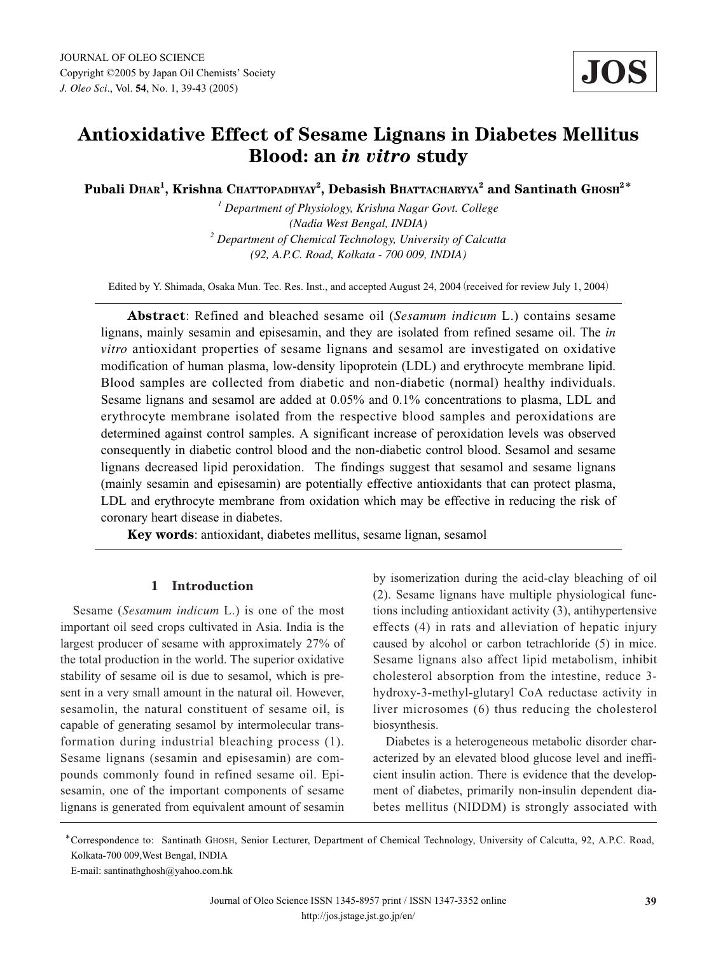# **Antioxidative Effect of Sesame Lignans in Diabetes Mellitus Blood: an** *in vitro* **study**

**Pubali DHAR<sup>1</sup> , Krishna CHATTOPADHYAY<sup>2</sup> , Debasish BHATTACHARYYA<sup>2</sup> and Santinath GHOSH2**\*

*<sup>1</sup> Department of Physiology, Krishna Nagar Govt. College (Nadia West Bengal, INDIA) <sup>2</sup> Department of Chemical Technology, University of Calcutta (92, A.P.C. Road, Kolkata - 700 009, INDIA)*

Edited by Y. Shimada, Osaka Mun. Tec. Res. Inst., and accepted August 24, 2004 (received for review July 1, 2004)

**Abstract**: Refined and bleached sesame oil (*Sesamum indicum* L.) contains sesame lignans, mainly sesamin and episesamin, and they are isolated from refined sesame oil. The *in vitro* antioxidant properties of sesame lignans and sesamol are investigated on oxidative modification of human plasma, low-density lipoprotein (LDL) and erythrocyte membrane lipid. Blood samples are collected from diabetic and non-diabetic (normal) healthy individuals. Sesame lignans and sesamol are added at 0.05% and 0.1% concentrations to plasma, LDL and erythrocyte membrane isolated from the respective blood samples and peroxidations are determined against control samples. A significant increase of peroxidation levels was observed consequently in diabetic control blood and the non-diabetic control blood. Sesamol and sesame lignans decreased lipid peroxidation. The findings suggest that sesamol and sesame lignans (mainly sesamin and episesamin) are potentially effective antioxidants that can protect plasma, LDL and erythrocyte membrane from oxidation which may be effective in reducing the risk of coronary heart disease in diabetes.

**Key words**: antioxidant, diabetes mellitus, sesame lignan, sesamol

## **1 Introduction**

Sesame (*Sesamum indicum* L.) is one of the most important oil seed crops cultivated in Asia. India is the largest producer of sesame with approximately 27% of the total production in the world. The superior oxidative stability of sesame oil is due to sesamol, which is present in a very small amount in the natural oil. However, sesamolin, the natural constituent of sesame oil, is capable of generating sesamol by intermolecular transformation during industrial bleaching process (1). Sesame lignans (sesamin and episesamin) are compounds commonly found in refined sesame oil. Episesamin, one of the important components of sesame lignans is generated from equivalent amount of sesamin

by isomerization during the acid-clay bleaching of oil (2). Sesame lignans have multiple physiological functions including antioxidant activity (3), antihypertensive effects (4) in rats and alleviation of hepatic injury caused by alcohol or carbon tetrachloride (5) in mice. Sesame lignans also affect lipid metabolism, inhibit cholesterol absorption from the intestine, reduce 3 hydroxy-3-methyl-glutaryl CoA reductase activity in liver microsomes (6) thus reducing the cholesterol biosynthesis.

Diabetes is a heterogeneous metabolic disorder characterized by an elevated blood glucose level and inefficient insulin action. There is evidence that the development of diabetes, primarily non-insulin dependent diabetes mellitus (NIDDM) is strongly associated with

<sup>\*</sup>Correspondence to: Santinath GHOSH, Senior Lecturer, Department of Chemical Technology, University of Calcutta, 92, A.P.C. Road, Kolkata-700 009,West Bengal, INDIA

E-mail: santinathghosh@yahoo.com.hk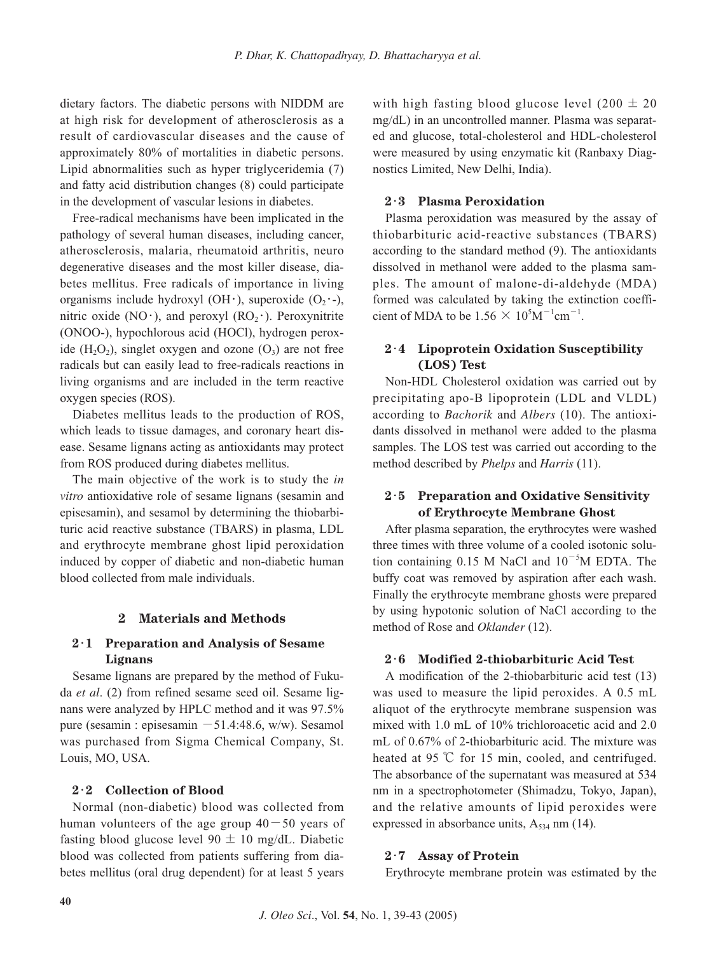dietary factors. The diabetic persons with NIDDM are at high risk for development of atherosclerosis as a result of cardiovascular diseases and the cause of approximately 80% of mortalities in diabetic persons. Lipid abnormalities such as hyper triglyceridemia (7) and fatty acid distribution changes (8) could participate in the development of vascular lesions in diabetes.

Free-radical mechanisms have been implicated in the pathology of several human diseases, including cancer, atherosclerosis, malaria, rheumatoid arthritis, neuro degenerative diseases and the most killer disease, diabetes mellitus. Free radicals of importance in living organisms include hydroxyl (OH $\cdot$ ), superoxide (O<sub>2</sub> $\cdot$ -), nitric oxide (NO $\cdot$ ), and peroxyl (RO<sub>2</sub> $\cdot$ ). Peroxynitrite (ONOO-), hypochlorous acid (HOCl), hydrogen peroxide  $(H_2O_2)$ , singlet oxygen and ozone  $(O_3)$  are not free radicals but can easily lead to free-radicals reactions in living organisms and are included in the term reactive oxygen species (ROS).

Diabetes mellitus leads to the production of ROS, which leads to tissue damages, and coronary heart disease. Sesame lignans acting as antioxidants may protect from ROS produced during diabetes mellitus.

The main objective of the work is to study the *in vitro* antioxidative role of sesame lignans (sesamin and episesamin), and sesamol by determining the thiobarbituric acid reactive substance (TBARS) in plasma, LDL and erythrocyte membrane ghost lipid peroxidation induced by copper of diabetic and non-diabetic human blood collected from male individuals.

## **2 Materials and Methods**

# **2**・**1 Preparation and Analysis of Sesame Lignans**

Sesame lignans are prepared by the method of Fukuda *et al*. (2) from refined sesame seed oil. Sesame lignans were analyzed by HPLC method and it was 97.5% pure (sesamin : episesamin  $-51.4:48.6$ , w/w). Sesamol was purchased from Sigma Chemical Company, St. Louis, MO, USA.

#### **2**・**2 Collection of Blood**

Normal (non-diabetic) blood was collected from human volunteers of the age group  $40-50$  years of fasting blood glucose level  $90 \pm 10$  mg/dL. Diabetic blood was collected from patients suffering from diabetes mellitus (oral drug dependent) for at least 5 years with high fasting blood glucose level  $(200 \pm 20)$ mg/dL) in an uncontrolled manner. Plasma was separated and glucose, total-cholesterol and HDL-cholesterol were measured by using enzymatic kit (Ranbaxy Diagnostics Limited, New Delhi, India).

# **2**・**3 Plasma Peroxidation**

Plasma peroxidation was measured by the assay of thiobarbituric acid-reactive substances (TBARS) according to the standard method (9). The antioxidants dissolved in methanol were added to the plasma samples. The amount of malone-di-aldehyde (MDA) formed was calculated by taking the extinction coefficient of MDA to be  $1.56 \times 10^5 \text{M}^{-1} \text{cm}^{-1}$ .

# **2**・**4 Lipoprotein Oxidation Susceptibility (LOS) Test**

Non-HDL Cholesterol oxidation was carried out by precipitating apo-B lipoprotein (LDL and VLDL) according to *Bachorik* and *Albers* (10). The antioxidants dissolved in methanol were added to the plasma samples. The LOS test was carried out according to the method described by *Phelps* and *Harris* (11).

## **2**・**5 Preparation and Oxidative Sensitivity of Erythrocyte Membrane Ghost**

After plasma separation, the erythrocytes were washed three times with three volume of a cooled isotonic solution containing  $0.15$  M NaCl and  $10^{-5}$ M EDTA. The buffy coat was removed by aspiration after each wash. Finally the erythrocyte membrane ghosts were prepared by using hypotonic solution of NaCl according to the method of Rose and *Oklander* (12).

#### **2**・**6 Modified 2-thiobarbituric Acid Test**

A modification of the 2-thiobarbituric acid test (13) was used to measure the lipid peroxides. A 0.5 mL aliquot of the erythrocyte membrane suspension was mixed with 1.0 mL of 10% trichloroacetic acid and 2.0 mL of 0.67% of 2-thiobarbituric acid. The mixture was heated at 95 ℃ for 15 min, cooled, and centrifuged. The absorbance of the supernatant was measured at 534 nm in a spectrophotometer (Shimadzu, Tokyo, Japan), and the relative amounts of lipid peroxides were expressed in absorbance units,  $A_{534}$  nm (14).

## **2**・**7 Assay of Protein**

Erythrocyte membrane protein was estimated by the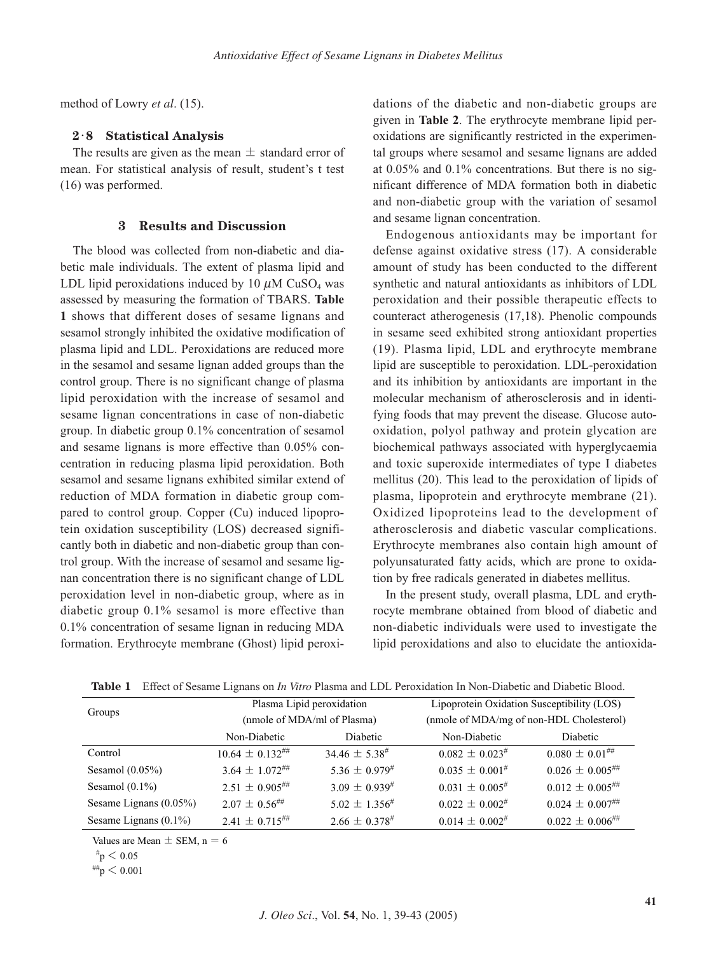method of Lowry *et al*. (15).

#### **2**・**8 Statistical Analysis**

The results are given as the mean  $\pm$  standard error of mean. For statistical analysis of result, student's t test (16) was performed.

#### **3 Results and Discussion**

The blood was collected from non-diabetic and diabetic male individuals. The extent of plasma lipid and LDL lipid peroxidations induced by 10  $\mu$ M CuSO<sub>4</sub> was assessed by measuring the formation of TBARS. **Table 1** shows that different doses of sesame lignans and sesamol strongly inhibited the oxidative modification of plasma lipid and LDL. Peroxidations are reduced more in the sesamol and sesame lignan added groups than the control group. There is no significant change of plasma lipid peroxidation with the increase of sesamol and sesame lignan concentrations in case of non-diabetic group. In diabetic group 0.1% concentration of sesamol and sesame lignans is more effective than 0.05% concentration in reducing plasma lipid peroxidation. Both sesamol and sesame lignans exhibited similar extend of reduction of MDA formation in diabetic group compared to control group. Copper (Cu) induced lipoprotein oxidation susceptibility (LOS) decreased significantly both in diabetic and non-diabetic group than control group. With the increase of sesamol and sesame lignan concentration there is no significant change of LDL peroxidation level in non-diabetic group, where as in diabetic group 0.1% sesamol is more effective than 0.1% concentration of sesame lignan in reducing MDA formation. Erythrocyte membrane (Ghost) lipid peroxidations of the diabetic and non-diabetic groups are given in **Table 2**. The erythrocyte membrane lipid peroxidations are significantly restricted in the experimental groups where sesamol and sesame lignans are added at 0.05% and 0.1% concentrations. But there is no significant difference of MDA formation both in diabetic and non-diabetic group with the variation of sesamol and sesame lignan concentration.

Endogenous antioxidants may be important for defense against oxidative stress (17). A considerable amount of study has been conducted to the different synthetic and natural antioxidants as inhibitors of LDL peroxidation and their possible therapeutic effects to counteract atherogenesis (17,18). Phenolic compounds in sesame seed exhibited strong antioxidant properties (19). Plasma lipid, LDL and erythrocyte membrane lipid are susceptible to peroxidation. LDL-peroxidation and its inhibition by antioxidants are important in the molecular mechanism of atherosclerosis and in identifying foods that may prevent the disease. Glucose autooxidation, polyol pathway and protein glycation are biochemical pathways associated with hyperglycaemia and toxic superoxide intermediates of type I diabetes mellitus (20). This lead to the peroxidation of lipids of plasma, lipoprotein and erythrocyte membrane (21). Oxidized lipoproteins lead to the development of atherosclerosis and diabetic vascular complications. Erythrocyte membranes also contain high amount of polyunsaturated fatty acids, which are prone to oxidation by free radicals generated in diabetes mellitus.

In the present study, overall plasma, LDL and erythrocyte membrane obtained from blood of diabetic and non-diabetic individuals were used to investigate the lipid peroxidations and also to elucidate the antioxida-

| Groups                   | Plasma Lipid peroxidation   |                       | Lipoprotein Oxidation Susceptibility (LOS) |                                 |
|--------------------------|-----------------------------|-----------------------|--------------------------------------------|---------------------------------|
|                          | (nmole of MDA/ml of Plasma) |                       | (nmole of MDA/mg of non-HDL Cholesterol)   |                                 |
|                          | Non-Diabetic                | Diabetic              | Non-Diabetic                               | Diabetic                        |
| Control                  | $10.64 \pm 0.132^{+}$       | $34.46 \pm 5.38^{\#}$ | $0.082 \pm 0.023$ <sup>#</sup>             | $0.080 \pm 0.01$ ##             |
| Sesamol $(0.05\%)$       | $3.64 \pm 1.072^{***}$      | $5.36 \pm 0.979^{#}$  | $0.035 \pm 0.001^{#}$                      | $0.026 \pm 0.005^{ \text{\#H}}$ |
| Sesamol $(0.1\%)$        | $2.51 \pm 0.905^{#}$        | $3.09 \pm 0.939^{#}$  | $0.031 \pm 0.005$ <sup>#</sup>             | $0.012 \pm 0.005^{ \text{\#H}}$ |
| Sesame Lignans (0.05%)   | $2.07 + 0.56^{\text{***}}$  | $5.02 \pm 1.356^{\#}$ | $0.022 \pm 0.002^{\#}$                     | $0.024 \pm 0.007^{ \text{\#H}}$ |
| Sesame Lignans $(0.1\%)$ | $2.41 \pm 0.715^{***}$      | $2.66 \pm 0.378^{\#}$ | $0.014 \pm 0.002$ #                        | $0.022 \pm 0.006^{ \text{\#H}}$ |

**Table 1** Effect of Sesame Lignans on *In Vitro* Plasma and LDL Peroxidation In Non-Diabetic and Diabetic Blood.

Values are Mean  $\pm$  SEM, n = 6

##p < 0.001

 $\mathrm{^{\#}p} < 0.05$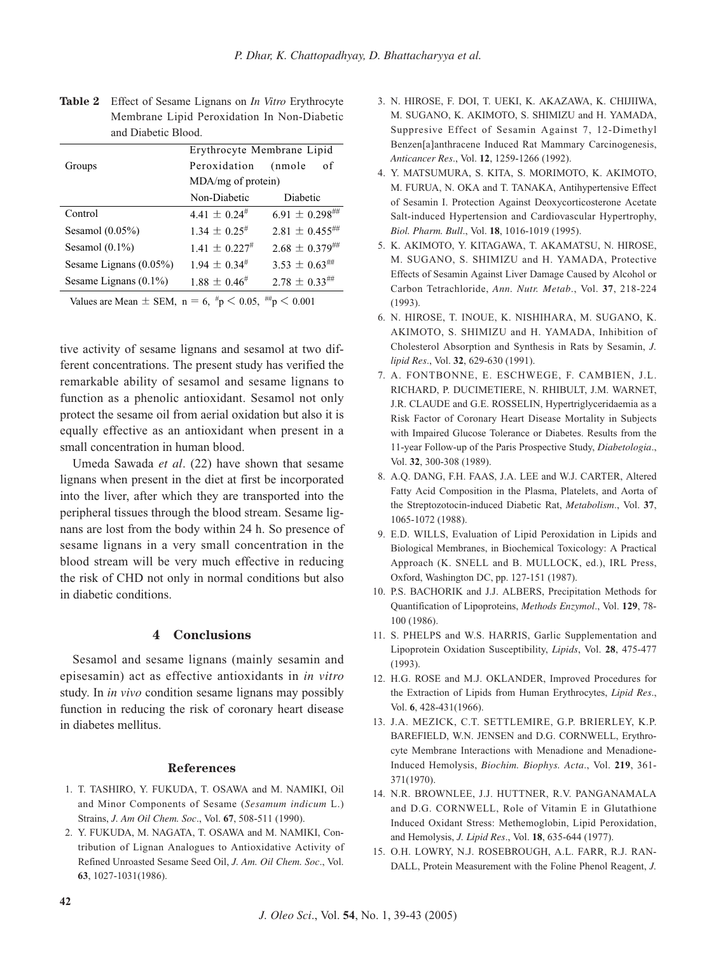|                           | Erythrocyte Membrane Lipid |                       |
|---------------------------|----------------------------|-----------------------|
| Groups                    | Peroxidation               | of<br>(nmole          |
|                           | $MDA/mg$ of protein)       |                       |
|                           | Non-Diabetic               | Diabetic              |
| Control                   | $4.41 + 0.24$              | $6.91 \pm 0.298$ ##   |
| Sesamol $(0.05\%)$        | $1.34 + 0.25^{\#}$         | $2.81 \pm 0.455$ ##   |
| Sesamol $(0.1\%)$         | $1.41 \pm 0.227$ #         | $2.68 \pm 0.379^{+4}$ |
| Sesame Lignans $(0.05\%)$ | $1.94 + 0.34$ <sup>#</sup> | $3.53 \pm 0.63$ ##    |
| Sesame Lignans $(0.1\%)$  | $1.88 + 0.46^{\#}$         | $2.78 \pm 0.33$ ##    |
|                           |                            |                       |

| <b>Table 2</b> Effect of Sesame Lignans on <i>In Vitro</i> Erythrocyte |
|------------------------------------------------------------------------|
| Membrane Lipid Peroxidation In Non-Diabetic                            |
| and Diabetic Blood.                                                    |

Values are Mean  $\pm$  SEM, n = 6,  $\frac{\#p}{ } < 0.05, \frac{\#p}{ } < 0.001$ 

tive activity of sesame lignans and sesamol at two different concentrations. The present study has verified the remarkable ability of sesamol and sesame lignans to function as a phenolic antioxidant. Sesamol not only protect the sesame oil from aerial oxidation but also it is equally effective as an antioxidant when present in a small concentration in human blood.

Umeda Sawada *et al*. (22) have shown that sesame lignans when present in the diet at first be incorporated into the liver, after which they are transported into the peripheral tissues through the blood stream. Sesame lignans are lost from the body within 24 h. So presence of sesame lignans in a very small concentration in the blood stream will be very much effective in reducing the risk of CHD not only in normal conditions but also in diabetic conditions.

## **4 Conclusions**

Sesamol and sesame lignans (mainly sesamin and episesamin) act as effective antioxidants in *in vitro* study. In *in vivo* condition sesame lignans may possibly function in reducing the risk of coronary heart disease in diabetes mellitus.

#### **References**

- 1. T. TASHIRO, Y. FUKUDA, T. OSAWA and M. NAMIKI, Oil and Minor Components of Sesame (*Sesamum indicum* L.) Strains, *J. Am Oil Chem. Soc*., Vol. **67**, 508-511 (1990).
- 2. Y. FUKUDA, M. NAGATA, T. OSAWA and M. NAMIKI, Contribution of Lignan Analogues to Antioxidative Activity of Refined Unroasted Sesame Seed Oil, *J. Am. Oil Chem. Soc*., Vol. **63**, 1027-1031(1986).
- 3. N. HIROSE, F. DOI, T. UEKI, K. AKAZAWA, K. CHIJIIWA, M. SUGANO, K. AKIMOTO, S. SHIMIZU and H. YAMADA, Suppresive Effect of Sesamin Against 7, 12-Dimethyl Benzen[a]anthracene Induced Rat Mammary Carcinogenesis, *Anticancer Res*., Vol. **12**, 1259-1266 (1992).
- 4. Y. MATSUMURA, S. KITA, S. MORIMOTO, K. AKIMOTO, M. FURUA, N. OKA and T. TANAKA, Antihypertensive Effect of Sesamin I. Protection Against Deoxycorticosterone Acetate Salt-induced Hypertension and Cardiovascular Hypertrophy, *Biol. Pharm. Bull*., Vol. **18**, 1016-1019 (1995).
- 5. K. AKIMOTO, Y. KITAGAWA, T. AKAMATSU, N. HIROSE, M. SUGANO, S. SHIMIZU and H. YAMADA, Protective Effects of Sesamin Against Liver Damage Caused by Alcohol or Carbon Tetrachloride, *Ann. Nutr. Metab*., Vol. **37**, 218-224 (1993).
- 6. N. HIROSE, T. INOUE, K. NISHIHARA, M. SUGANO, K. AKIMOTO, S. SHIMIZU and H. YAMADA, Inhibition of Cholesterol Absorption and Synthesis in Rats by Sesamin, *J. lipid Res*., Vol. **32**, 629-630 (1991).
- 7. A. FONTBONNE, E. ESCHWEGE, F. CAMBIEN, J.L. RICHARD, P. DUCIMETIERE, N. RHIBULT, J.M. WARNET, J.R. CLAUDE and G.E. ROSSELIN, Hypertriglyceridaemia as a Risk Factor of Coronary Heart Disease Mortality in Subjects with Impaired Glucose Tolerance or Diabetes. Results from the 11-year Follow-up of the Paris Prospective Study, *Diabetologia*., Vol. **32**, 300-308 (1989).
- 8. A.Q. DANG, F.H. FAAS, J.A. LEE and W.J. CARTER, Altered Fatty Acid Composition in the Plasma, Platelets, and Aorta of the Streptozotocin-induced Diabetic Rat, *Metabolism*., Vol. **37**, 1065-1072 (1988).
- 9. E.D. WILLS, Evaluation of Lipid Peroxidation in Lipids and Biological Membranes, in Biochemical Toxicology: A Practical Approach (K. SNELL and B. MULLOCK, ed.), IRL Press, Oxford, Washington DC, pp. 127-151 (1987).
- 10. P.S. BACHORIK and J.J. ALBERS, Precipitation Methods for Quantification of Lipoproteins, *Methods Enzymol*., Vol. **129**, 78- 100 (1986).
- 11. S. PHELPS and W.S. HARRIS, Garlic Supplementation and Lipoprotein Oxidation Susceptibility, *Lipids*, Vol. **28**, 475-477 (1993).
- 12. H.G. ROSE and M.J. OKLANDER, Improved Procedures for the Extraction of Lipids from Human Erythrocytes, *Lipid Res*., Vol. **6**, 428-431(1966).
- 13. J.A. MEZICK, C.T. SETTLEMIRE, G.P. BRIERLEY, K.P. BAREFIELD, W.N. JENSEN and D.G. CORNWELL, Erythrocyte Membrane Interactions with Menadione and Menadione-Induced Hemolysis, *Biochim. Biophys. Acta*., Vol. **219**, 361- 371(1970).
- 14. N.R. BROWNLEE, J.J. HUTTNER, R.V. PANGANAMALA and D.G. CORNWELL, Role of Vitamin E in Glutathione Induced Oxidant Stress: Methemoglobin, Lipid Peroxidation, and Hemolysis, *J. Lipid Res*., Vol. **18**, 635-644 (1977).
- 15. O.H. LOWRY, N.J. ROSEBROUGH, A.L. FARR, R.J. RAN-DALL, Protein Measurement with the Foline Phenol Reagent, *J.*